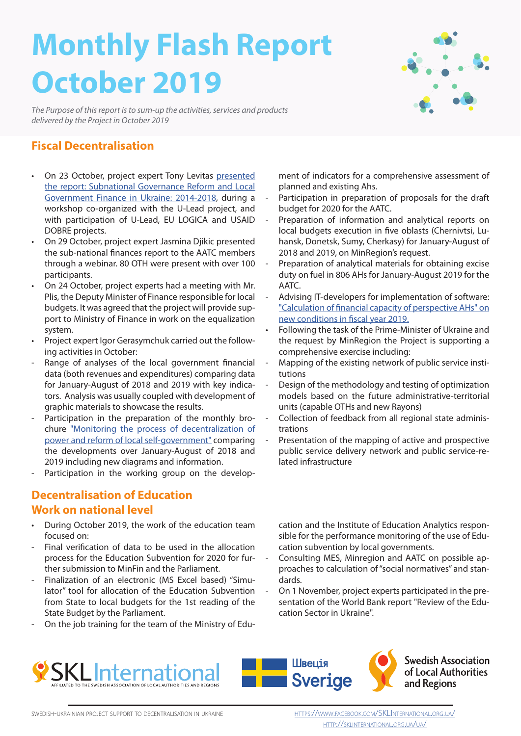# **Monthly Flash Report October 2019**

*The Purpose of this report is to sum-up the activities, services and products delivered by the Project in October 2019*

## **Fiscal Decentralisation**

- On 23 October, project expert Tony Levitas presented the report: Subnational Governance Reform and Local [Government Finance in Ukraine: 2014-2018, during a](http://sklinternational.org.ua/ua/fiscal_reports_presentation/)  workshop co-organized with the U-Lead project, and with participation of U-Lead, EU LOGICA and USAID DOBRE projects.
- On 29 October, project expert Jasmina Djikic presented the sub-national finances report to the AATC members through a webinar. 80 OTH were present with over 100 participants.
- On 24 October, project experts had a meeting with Mr. Plis, the Deputy Minister of Finance responsible for local budgets. It was agreed that the project will provide support to Ministry of Finance in work on the equalization system.
- Project expert Igor Gerasymchuk carried out the following activities in October:
- Range of analyses of the local government financial data (both revenues and expenditures) comparing data for January-August of 2018 and 2019 with key indicators. Analysis was usually coupled with development of graphic materials to showcase the results.
- Participation in the preparation of the monthly bro[chure "Monitoring the process of decentralization of](https://decentralization.gov.ua/uploads/library/file/477/10.10.2019.pdf)  power and reform of local self-government" comparing the developments over January-August of 2018 and 2019 including new diagrams and information.
- Participation in the working group on the develop-

#### **Decentralisation of Education Work on national level**

- During October 2019, the work of the education team focused on:
- Final verification of data to be used in the allocation process for the Education Subvention for 2020 for further submission to MinFin and the Parliament.
- Finalization of an electronic (MS Excel based) "Simulator" tool for allocation of the Education Subvention from State to local budgets for the 1st reading of the State Budget by the Parliament.
- On the job training for the team of the Ministry of Edu-

ment of indicators for a comprehensive assessment of planned and existing Ahs.

- Participation in preparation of proposals for the draft budget for 2020 for the AATC.
- Preparation of information and analytical reports on local budgets execution in five oblasts (Chernivtsi, Luhansk, Donetsk, Sumy, Cherkasy) for January-August of 2018 and 2019, on MinRegion's request.
- Preparation of analytical materials for obtaining excise duty on fuel in 806 AHs for January-August 2019 for the AATC.
- Advising IT-developers for implementation of software: ["Calculation of financial capacity of perspective AHs" on](https://decentralization.gov.ua/finance/calculator)  new conditions in fiscal year 2019.
- Following the task of the Prime-Minister of Ukraine and the request by MinRegion the Project is supporting a comprehensive exercise including:
- Mapping of the existing network of public service institutions
- Design of the methodology and testing of optimization models based on the future administrative-territorial units (capable OTHs and new Rayons)
- Collection of feedback from all regional state administrations
- Presentation of the mapping of active and prospective public service delivery network and public service-related infrastructure

cation and the Institute of Education Analytics responsible for the performance monitoring of the use of Education subvention by local governments.

- Consulting MES, Minregion and AATC on possible approaches to calculation of "social normatives" and standards.
- On 1 November, project experts participated in the presentation of the World Bank report "Review of the Education Sector in Ukraine".







**Swedish Association**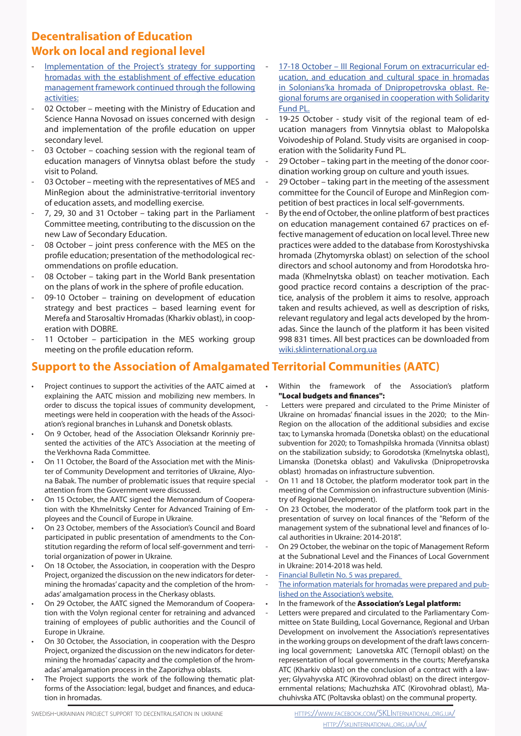# **Decentralisation of Education Work on local and regional level**

- Implementation of the Project's strategy for supporting hromadas with the establishment of effective education management framework continued through the following activities:
- 02 October meeting with the Ministry of Education and Science Hanna Novosad on issues concerned with design and implementation of the profile education on upper secondary level.
- 03 October coaching session with the regional team of education managers of Vinnytsa oblast before the study visit to Poland.
- 03 October meeting with the representatives of MES and MinRegion about the administrative-territorial inventory of education assets, and modelling exercise.
- 7, 29, 30 and 31 October taking part in the Parliament Committee meeting, contributing to the discussion on the new Law of Secondary Education.
- 08 October joint press conference with the MES on the profile education; presentation of the methodological recommendations on profile education.
- 08 October taking part in the World Bank presentation on the plans of work in the sphere of profile education.
- 09-10 October training on development of education strategy and best practices – based learning event for Merefa and Starosaltiv Hromadas (Kharkiv oblast), in cooperation with DOBRE.
- 11 October participation in the MES working group meeting on the profile education reform.
- 17-18 October III Regional Forum on extracurricular ed[ucation, and education and cultural space in hromadas](https://www.facebook.com/SKLInternational.org.ua/posts/1700720943405899?__tn__=-R)  in Solonians'ka hromada of Dnipropetrovska oblast. Regional forums are organised in cooperation with Solidarity Fund PL.
- 19-25 October study visit of the regional team of education managers from Vinnytsia oblast to Małopolska Voivodeship of Poland. Study visits are organised in cooperation with the Solidarity Fund PL.
- 29 October taking part in the meeting of the donor coordination working group on culture and youth issues.
- 29 October taking part in the meeting of the assessment committee for the Council of Europe and MinRegion competition of best practices in local self-governments.
- By the end of October, the online platform of best practices on education management contained 67 practices on effective management of education on local level. Three new practices were added to the database from Korostyshivska hromada (Zhytomyrska oblast) on selection of the school directors and school autonomy and from Horodotska hromada (Khmelnytska oblast) on teacher motivation. Each good practice record contains a description of the practice, analysis of the problem it aims to resolve, approach taken and results achieved, as well as description of risks, relevant regulatory and legal acts developed by the hromadas. Since the launch of the platform it has been visited 998 831 times. All best practices can be downloaded from wiki.sklinternational.org.ua

# **Support to the Association of Amalgamated Territorial Communities (AATC)**

- Project continues to support the activities of the AATC aimed at explaining the AATC mission and mobilizing new members. In order to discuss the topical issues of community development, meetings were held in cooperation with the heads of the Association's regional branches in Luhansk and Donetsk oblasts.
- On 9 October, head of the Association Oleksandr Korinniy presented the activities of the ATC's Association at the meeting of the Verkhovna Rada Committee.
- On 11 October, the Board of the Association met with the Minister of Community Development and territories of Ukraine, Alyo[na Babak. The number of problematic issues that require special](https://wp.me/p9LVVV-3ut)  attention from the Government were discussed.
- On 15 October, the AATC signed the Memorandum of Cooperation with the Khmelnitsky Center for Advanced Training of Employees and the Council of Europe in Ukraine.
- [On 23 October, members of the Association's Council and Board](https://wp.me/p9LVVV-3xQ)  participated in public presentation of amendments to the Constitution regarding the reform of local self-government and territorial organization of power in Ukraine.
- On 18 October, the Association, in cooperation with the Despro Project, organized the discussion on the new indicators for determining the hromadas' capacity and the completion of the hromadas' amalgamation process in the Cherkasy oblasts.
- On 29 October, the AATC signed the Memorandum of Cooperation with the Volyn regional center for retraining and advanced training of employees of public authorities and the Council of Europe in Ukraine.
- On 30 October, the Association, in cooperation with the Despro Project, organized the discussion on the new indicators for determining the hromadas' capacity and the completion of the hromadas' amalgamation process in the Zaporizhya oblasts.
- The Project supports the work of the following thematic platforms of the Association: legal, budget and finances, and education in hromadas.
- Within the framework of the Association's platform "Local budgets and finances":
- Letters were prepared and circulated to the Prime Minister of Ukraine on hromadas' financial issues in the 2020; to the Min-Region on the allocation of the additional subsidies and excise tax; to Lymanska hromada (Donetska oblast) on the educational subvention for 2020; to Tomashpilska hromada (Vinnitsa oblast) on the stabilization subsidy; to Gorodotska (Kmelnytska oblast), Limanskа (Donetska oblast) and Vakulivska (Dnipropetrovska oblast) hromadas on infrastructure subvention.
- On 11 and 18 October, the platform moderator took part in the meeting of the Commission on infrastructure subvention (Ministry of Regional Development).
- On 23 October, the moderator of the platform took part in the presentation of survey on local finances of the "Reform of the management system of the subnational level and finances of local authorities in Ukraine: 2014-2018".
- On 29 October, the webinar on the topic of Management Reform at the Subnational Level and the Finances of Local Government in Ukraine: 2014-2018 was held.
- Financial Bulletin No. 5 was prepared.
- [The information materials for hromadas were prepared and pub](https://wp.me/P9LVVV-16i)lished on the Association's website.
- In the framework of the Association's Legal platform:
- Letters were prepared and circulated to the Parliamentary Committee on State Building, Local Governance, Regional and Urban Development on involvement the Association's representatives in the working groups on development of the draft laws concerning local government; Lanovetska ATC (Ternopil oblast) on the representation of local governments in the courts; Merefyanska ATC (Kharkiv oblast) on the conclusion of a contract with a lawyer; Glyvahyvska ATC (Kirovohrad oblast) on the direct intergovernmental relations; Machuzhska ATC (Kirovohrad oblast), Machuhivska ATC (Poltavska oblast) on the communal property.